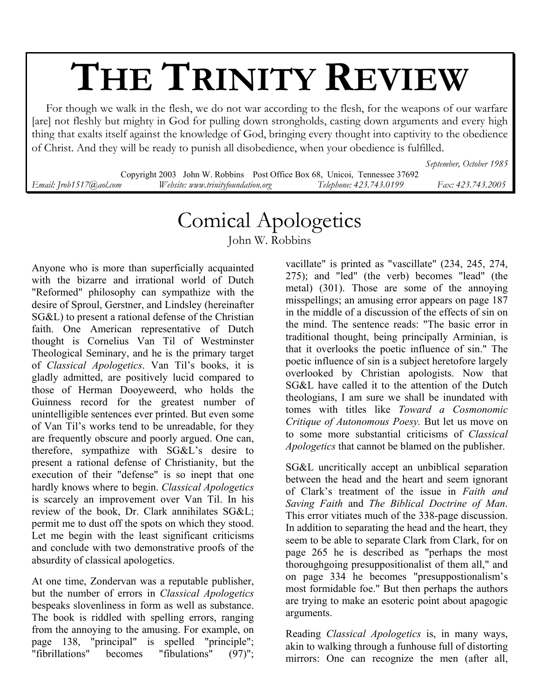## **THE TRINITY REVIEW**

 For though we walk in the flesh, we do not war according to the flesh, for the weapons of our warfare [are] not fleshly but mighty in God for pulling down strongholds, casting down arguments and every high thing that exalts itself against the knowledge of God, bringing every thought into captivity to the obedience of Christ. And they will be ready to punish all disobedience, when your obedience is fulfilled.

*September, October 1985* 

Copyright 2003 John W. Robbins Post Office Box 68, Unicoi, Tennessee 37692 *Email: Jrob1517@aol.com Website: www.trinityfoundation.org Telephone: 423.743.0199 Fax: 423.743.2005*

## Comical Apologetics

John W. Robbins

Anyone who is more than superficially acquainted with the bizarre and irrational world of Dutch "Reformed" philosophy can sympathize with the desire of Sproul, Gerstner, and Lindsley (hereinafter SG&L) to present a rational defense of the Christian faith. One American representative of Dutch thought is Cornelius Van Til of Westminster Theological Seminary, and he is the primary target of *Classical Apologetics*. Van Til's books, it is gladly admitted, are positively lucid compared to those of Herman Dooyeweerd, who holds the Guinness record for the greatest number of unintelligible sentences ever printed. But even some of Van Til's works tend to be unreadable, for they are frequently obscure and poorly argued. One can, therefore, sympathize with SG&L's desire to present a rational defense of Christianity, but the execution of their "defense" is so inept that one hardly knows where to begin. *Classical Apologetics* is scarcely an improvement over Van Til. In his review of the book, Dr. Clark annihilates SG&L; permit me to dust off the spots on which they stood. Let me begin with the least significant criticisms and conclude with two demonstrative proofs of the absurdity of classical apologetics.

At one time, Zondervan was a reputable publisher, but the number of errors in *Classical Apologetics* bespeaks slovenliness in form as well as substance. The book is riddled with spelling errors, ranging from the annoying to the amusing. For example, on page 138, "principal" is spelled "principle"; "fibrillations" becomes "fibulations" (97)";

vacillate" is printed as "vascillate" (234, 245, 274, 275); and "led" (the verb) becomes "lead" (the metal) (301). Those are some of the annoying misspellings; an amusing error appears on page 187 in the middle of a discussion of the effects of sin on the mind. The sentence reads: "The basic error in traditional thought, being principally Arminian, is that it overlooks the poetic influence of sin." The poetic influence of sin is a subject heretofore largely overlooked by Christian apologists. Now that SG&L have called it to the attention of the Dutch theologians, I am sure we shall be inundated with tomes with titles like *Toward a Cosmonomic Critique of Autonomous Poesy.* But let us move on to some more substantial criticisms of *Classical Apologetics* that cannot be blamed on the publisher.

SG&L uncritically accept an unbiblical separation between the head and the heart and seem ignorant of Clark's treatment of the issue in *Faith and Saving Faith* and *The Biblical Doctrine of Man*. This error vitiates much of the 338-page discussion. In addition to separating the head and the heart, they seem to be able to separate Clark from Clark, for on page 265 he is described as "perhaps the most thoroughgoing presuppositionalist of them all," and on page 334 he becomes "presuppostionalism's most formidable foe." But then perhaps the authors are trying to make an esoteric point about apagogic arguments.

Reading *Classical Apologetics* is, in many ways, akin to walking through a funhouse full of distorting mirrors: One can recognize the men (after all,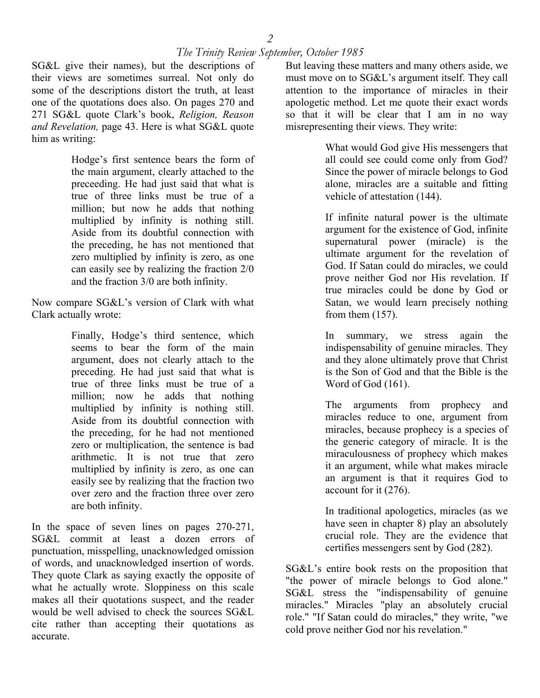## *The Trinity Review September, October 1985*

SG&L give their names), but the descriptions of their views are sometimes surreal. Not only do some of the descriptions distort the truth, at least one of the quotations does also. On pages 270 and 271 SG&L quote Clark's book, *Religion, Reason and Revelation,* page 43. Here is what SG&L quote him as writing:

> Hodge's first sentence bears the form of the main argument, clearly attached to the preceeding. He had just said that what is true of three links must be true of a million; but now he adds that nothing multiplied by infinity is nothing still. Aside from its doubtful connection with the preceding, he has not mentioned that zero multiplied by infinity is zero, as one can easily see by realizing the fraction 2/0 and the fraction 3/0 are both infinity.

Now compare SG&L's version of Clark with what Clark actually wrote:

> Finally, Hodge's third sentence, which seems to bear the form of the main argument, does not clearly attach to the preceding. He had just said that what is true of three links must be true of a million; now he adds that nothing multiplied by infinity is nothing still. Aside from its doubtful connection with the preceding, for he had not mentioned zero or multiplication, the sentence is bad arithmetic. It is not true that zero multiplied by infinity is zero, as one can easily see by realizing that the fraction two over zero and the fraction three over zero are both infinity.

In the space of seven lines on pages 270-271, SG&L commit at least a dozen errors of punctuation, misspelling, unacknowledged omission of words, and unacknowledged insertion of words. They quote Clark as saying exactly the opposite of what he actually wrote. Sloppiness on this scale makes all their quotations suspect, and the reader would be well advised to check the sources SG&L cite rather than accepting their quotations as accurate.

But leaving these matters and many others aside, we must move on to SG&L's argument itself. They call attention to the importance of miracles in their apologetic method. Let me quote their exact words so that it will be clear that I am in no way misrepresenting their views. They write:

> What would God give His messengers that all could see could come only from God? Since the power of miracle belongs to God alone, miracles are a suitable and fitting vehicle of attestation (144).

> If infinite natural power is the ultimate argument for the existence of God, infinite supernatural power (miracle) is the ultimate argument for the revelation of God. If Satan could do miracles, we could prove neither God nor His revelation. If true miracles could be done by God or Satan, we would learn precisely nothing from them (157).

> In summary, we stress again the indispensability of genuine miracles. They and they alone ultimately prove that Christ is the Son of God and that the Bible is the Word of God (161).

> The arguments from prophecy and miracles reduce to one, argument from miracles, because prophecy is a species of the generic category of miracle. It is the miraculousness of prophecy which makes it an argument, while what makes miracle an argument is that it requires God to account for it (276).

> In traditional apologetics, miracles (as we have seen in chapter 8) play an absolutely crucial role. They are the evidence that certifies messengers sent by God (282).

SG&L's entire book rests on the proposition that "the power of miracle belongs to God alone." SG&L stress the "indispensability of genuine miracles." Miracles "play an absolutely crucial role." "If Satan could do miracles," they write, "we cold prove neither God nor his revelation."